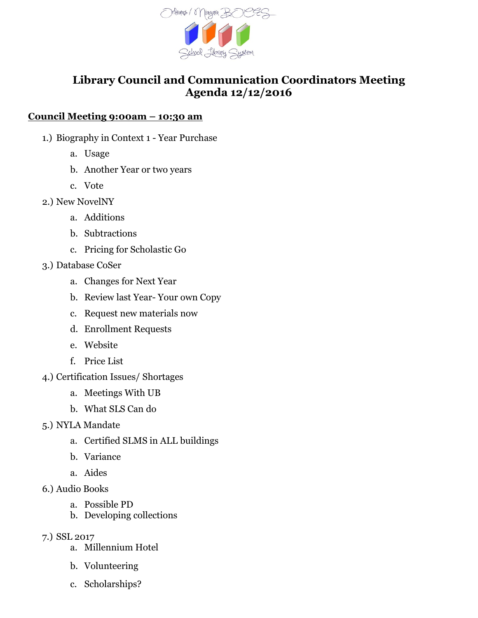

## **Library Council and Communication Coordinators Meeting Agenda 12/12/2016**

## **Council Meeting 9:00am – 10:30 am**

- 1.) Biography in Context 1 Year Purchase
	- a. Usage
	- b. Another Year or two years
	- c. Vote
- 2.) New NovelNY
	- a. Additions
	- b. Subtractions
	- c. Pricing for Scholastic Go
- 3.) Database CoSer
	- a. Changes for Next Year
	- b. Review last Year- Your own Copy
	- c. Request new materials now
	- d. Enrollment Requests
	- e. Website
	- f. Price List
- 4.) Certification Issues/ Shortages
	- a. Meetings With UB
	- b. What SLS Can do
- 5.) NYLA Mandate
	- a. Certified SLMS in ALL buildings
	- b. Variance
	- a. Aides
- 6.) Audio Books
	- a. Possible PD
	- b. Developing collections
- 7.) SSL 2017
	- a. Millennium Hotel
	- b. Volunteering
	- c. Scholarships?